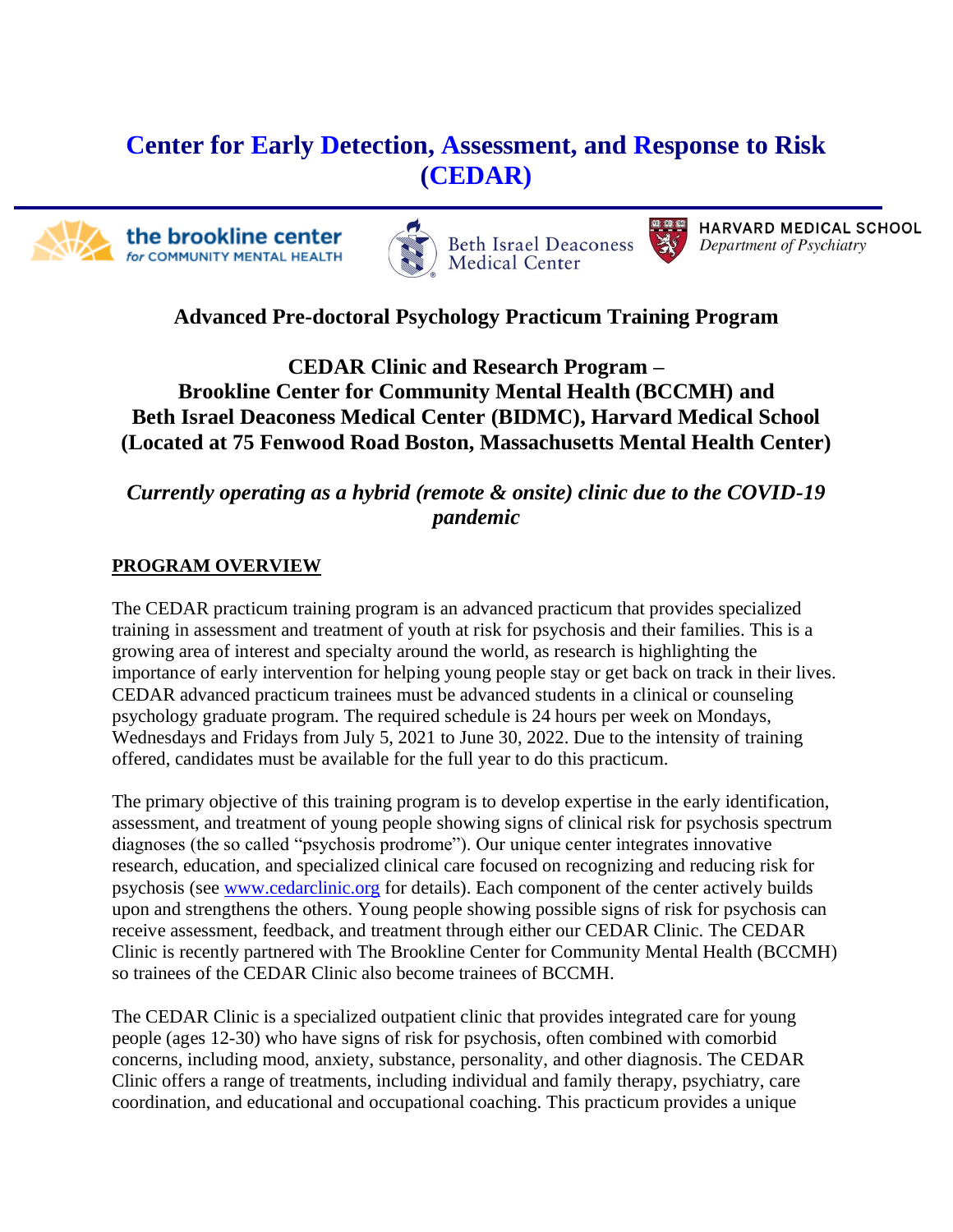# **Center for Early Detection, Assessment, and Response to Risk (CEDAR)**

the brookline center for COMMUNITY MENTAL HEALTH





HARVARD MEDICAL SCHOOL Department of Psychiatry

# **Advanced Pre-doctoral Psychology Practicum Training Program**

**CEDAR Clinic and Research Program – Brookline Center for Community Mental Health (BCCMH) and Beth Israel Deaconess Medical Center (BIDMC), Harvard Medical School (Located at 75 Fenwood Road Boston, Massachusetts Mental Health Center)**

*Currently operating as a hybrid (remote & onsite) clinic due to the COVID-19 pandemic*

### **PROGRAM OVERVIEW**

The CEDAR practicum training program is an advanced practicum that provides specialized training in assessment and treatment of youth at risk for psychosis and their families. This is a growing area of interest and specialty around the world, as research is highlighting the importance of early intervention for helping young people stay or get back on track in their lives. CEDAR advanced practicum trainees must be advanced students in a clinical or counseling psychology graduate program. The required schedule is 24 hours per week on Mondays, Wednesdays and Fridays from July 5, 2021 to June 30, 2022. Due to the intensity of training offered, candidates must be available for the full year to do this practicum.

The primary objective of this training program is to develop expertise in the early identification, assessment, and treatment of young people showing signs of clinical risk for psychosis spectrum diagnoses (the so called "psychosis prodrome"). Our unique center integrates innovative research, education, and specialized clinical care focused on recognizing and reducing risk for psychosis (see [www.cedarclinic.org](http://www.cedarclinic.org/) for details). Each component of the center actively builds upon and strengthens the others. Young people showing possible signs of risk for psychosis can receive assessment, feedback, and treatment through either our CEDAR Clinic. The CEDAR Clinic is recently partnered with The Brookline Center for Community Mental Health (BCCMH) so trainees of the CEDAR Clinic also become trainees of BCCMH.

The CEDAR Clinic is a specialized outpatient clinic that provides integrated care for young people (ages 12-30) who have signs of risk for psychosis, often combined with comorbid concerns, including mood, anxiety, substance, personality, and other diagnosis. The CEDAR Clinic offers a range of treatments, including individual and family therapy, psychiatry, care coordination, and educational and occupational coaching. This practicum provides a unique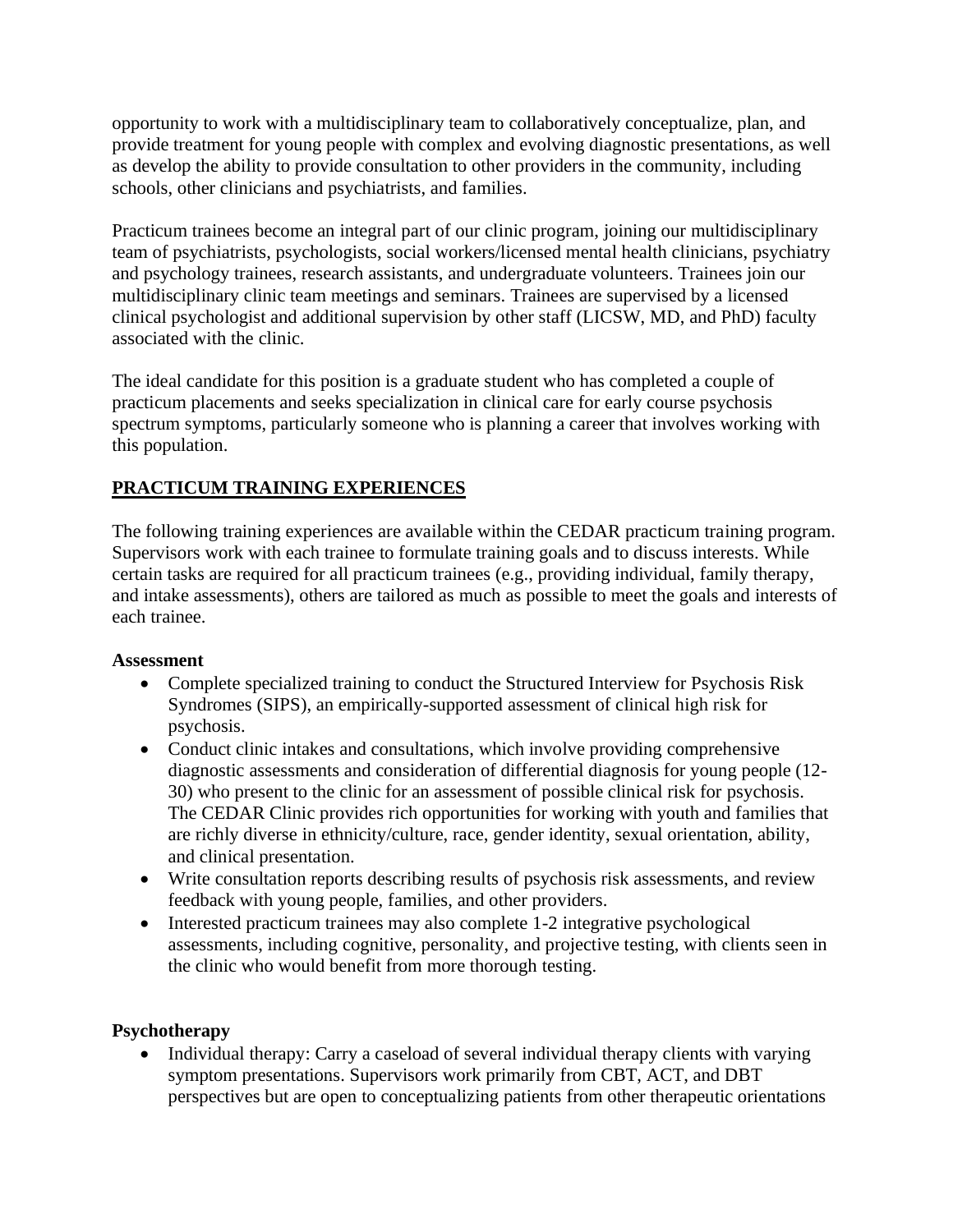opportunity to work with a multidisciplinary team to collaboratively conceptualize, plan, and provide treatment for young people with complex and evolving diagnostic presentations, as well as develop the ability to provide consultation to other providers in the community, including schools, other clinicians and psychiatrists, and families.

Practicum trainees become an integral part of our clinic program, joining our multidisciplinary team of psychiatrists, psychologists, social workers/licensed mental health clinicians, psychiatry and psychology trainees, research assistants, and undergraduate volunteers. Trainees join our multidisciplinary clinic team meetings and seminars. Trainees are supervised by a licensed clinical psychologist and additional supervision by other staff (LICSW, MD, and PhD) faculty associated with the clinic.

The ideal candidate for this position is a graduate student who has completed a couple of practicum placements and seeks specialization in clinical care for early course psychosis spectrum symptoms, particularly someone who is planning a career that involves working with this population.

## **PRACTICUM TRAINING EXPERIENCES**

The following training experiences are available within the CEDAR practicum training program. Supervisors work with each trainee to formulate training goals and to discuss interests. While certain tasks are required for all practicum trainees (e.g., providing individual, family therapy, and intake assessments), others are tailored as much as possible to meet the goals and interests of each trainee.

#### **Assessment**

- Complete specialized training to conduct the Structured Interview for Psychosis Risk Syndromes (SIPS), an empirically-supported assessment of clinical high risk for psychosis.
- Conduct clinic intakes and consultations, which involve providing comprehensive diagnostic assessments and consideration of differential diagnosis for young people (12- 30) who present to the clinic for an assessment of possible clinical risk for psychosis. The CEDAR Clinic provides rich opportunities for working with youth and families that are richly diverse in ethnicity/culture, race, gender identity, sexual orientation, ability, and clinical presentation.
- Write consultation reports describing results of psychosis risk assessments, and review feedback with young people, families, and other providers.
- Interested practicum trainees may also complete 1-2 integrative psychological assessments, including cognitive, personality, and projective testing, with clients seen in the clinic who would benefit from more thorough testing.

#### **Psychotherapy**

• Individual therapy: Carry a caseload of several individual therapy clients with varying symptom presentations. Supervisors work primarily from CBT, ACT, and DBT perspectives but are open to conceptualizing patients from other therapeutic orientations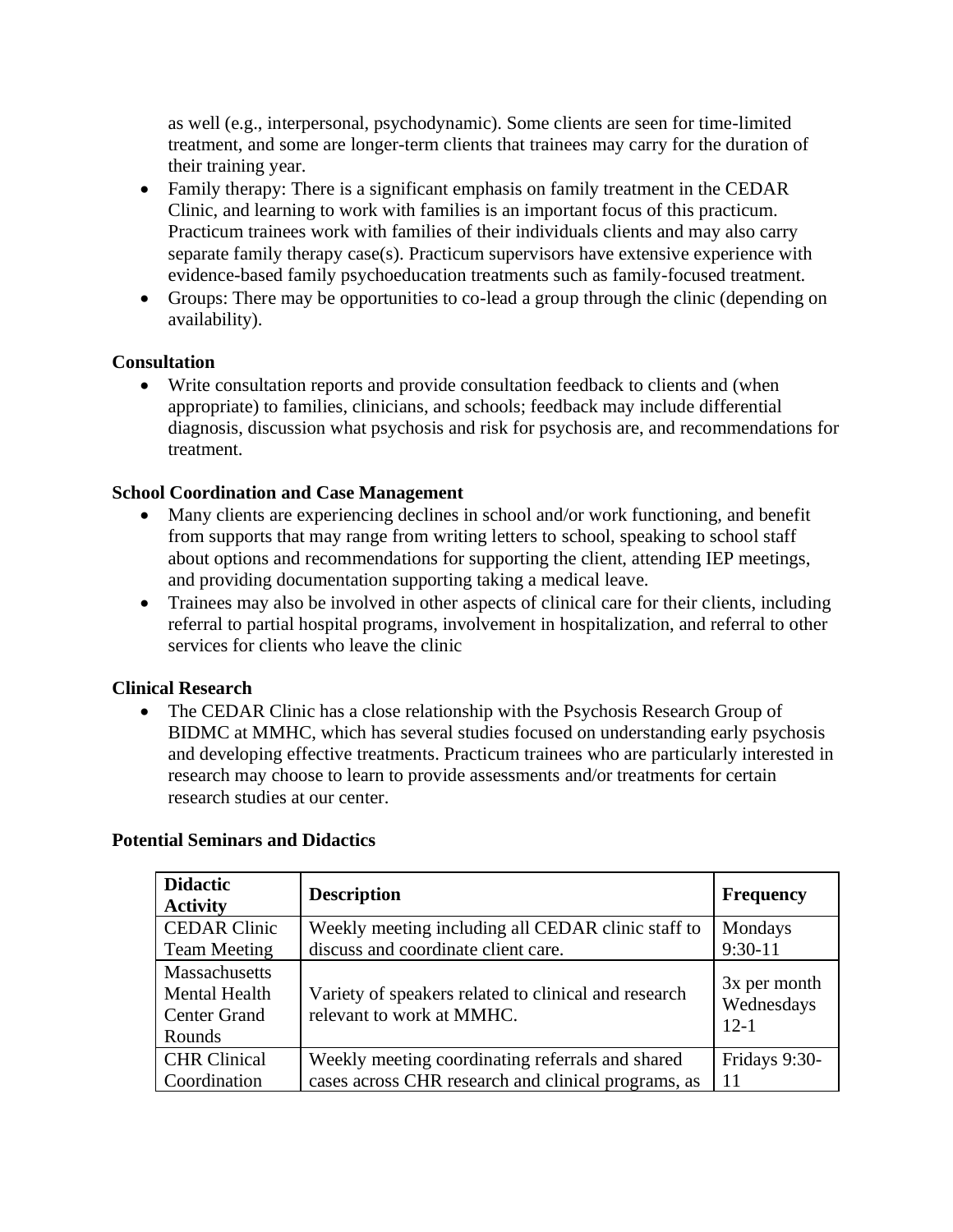as well (e.g., interpersonal, psychodynamic). Some clients are seen for time-limited treatment, and some are longer-term clients that trainees may carry for the duration of their training year.

- Family therapy: There is a significant emphasis on family treatment in the CEDAR Clinic, and learning to work with families is an important focus of this practicum. Practicum trainees work with families of their individuals clients and may also carry separate family therapy case(s). Practicum supervisors have extensive experience with evidence-based family psychoeducation treatments such as family-focused treatment.
- Groups: There may be opportunities to co-lead a group through the clinic (depending on availability).

#### **Consultation**

• Write consultation reports and provide consultation feedback to clients and (when appropriate) to families, clinicians, and schools; feedback may include differential diagnosis, discussion what psychosis and risk for psychosis are, and recommendations for treatment.

#### **School Coordination and Case Management**

- Many clients are experiencing declines in school and/or work functioning, and benefit from supports that may range from writing letters to school, speaking to school staff about options and recommendations for supporting the client, attending IEP meetings, and providing documentation supporting taking a medical leave.
- Trainees may also be involved in other aspects of clinical care for their clients, including referral to partial hospital programs, involvement in hospitalization, and referral to other services for clients who leave the clinic

#### **Clinical Research**

• The CEDAR Clinic has a close relationship with the Psychosis Research Group of BIDMC at MMHC, which has several studies focused on understanding early psychosis and developing effective treatments. Practicum trainees who are particularly interested in research may choose to learn to provide assessments and/or treatments for certain research studies at our center.

| <b>Didactic</b><br><b>Activity</b>                                     | <b>Description</b>                                                                | <b>Frequency</b>                     |
|------------------------------------------------------------------------|-----------------------------------------------------------------------------------|--------------------------------------|
| <b>CEDAR Clinic</b>                                                    | Weekly meeting including all CEDAR clinic staff to                                | Mondays                              |
| <b>Team Meeting</b>                                                    | discuss and coordinate client care.                                               | $9:30-11$                            |
| Massachusetts<br><b>Mental Health</b><br><b>Center Grand</b><br>Rounds | Variety of speakers related to clinical and research<br>relevant to work at MMHC. | 3x per month<br>Wednesdays<br>$12-1$ |
| <b>CHR Clinical</b>                                                    | Weekly meeting coordinating referrals and shared                                  | Fridays 9:30-                        |
| Coordination                                                           | cases across CHR research and clinical programs, as                               | 11                                   |

#### **Potential Seminars and Didactics**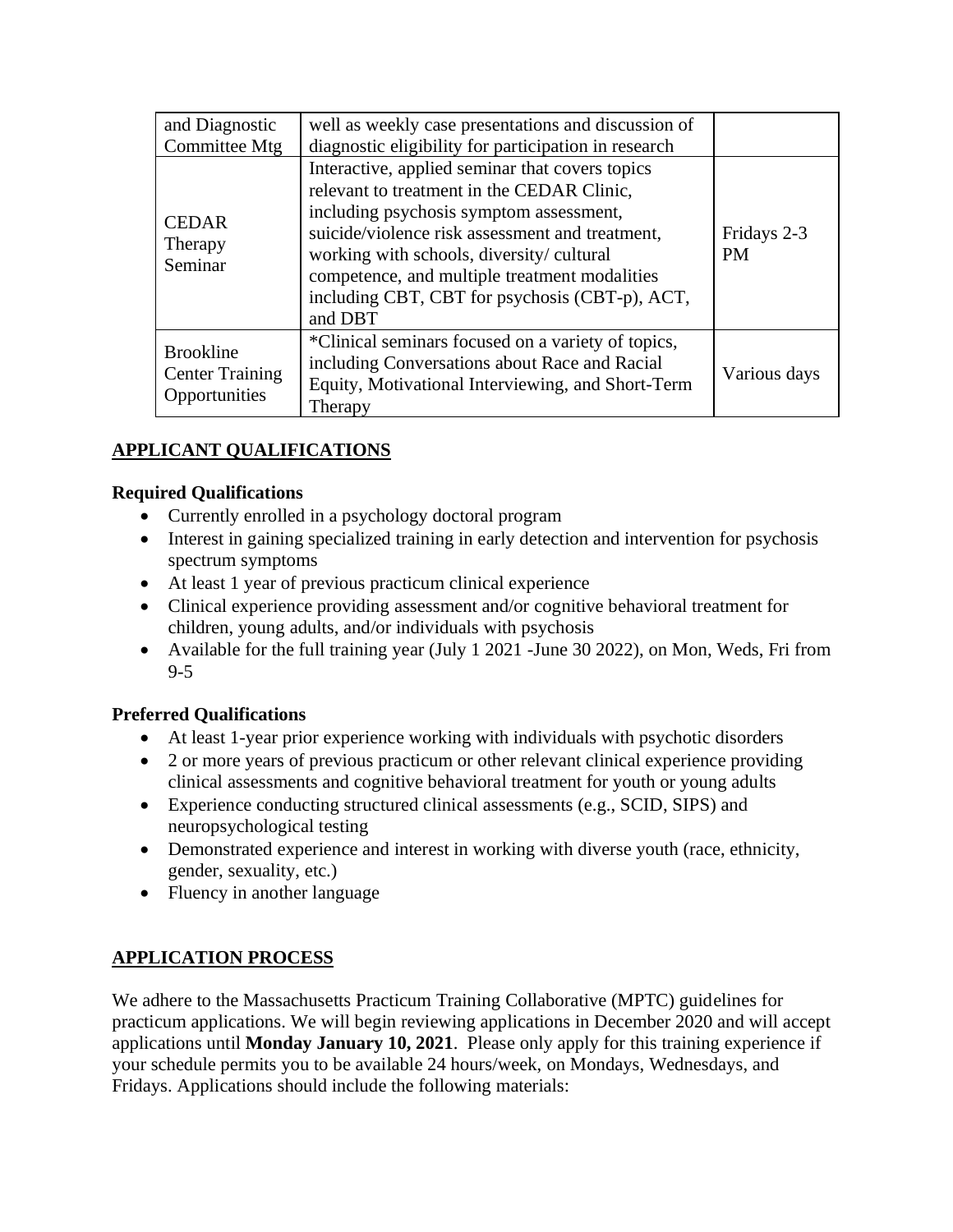| and Diagnostic                                              | well as weekly case presentations and discussion of                                                                                                                                                                                                                                                                                                   |                          |
|-------------------------------------------------------------|-------------------------------------------------------------------------------------------------------------------------------------------------------------------------------------------------------------------------------------------------------------------------------------------------------------------------------------------------------|--------------------------|
| Committee Mtg                                               | diagnostic eligibility for participation in research                                                                                                                                                                                                                                                                                                  |                          |
| <b>CEDAR</b><br>Therapy<br>Seminar                          | Interactive, applied seminar that covers topics<br>relevant to treatment in the CEDAR Clinic,<br>including psychosis symptom assessment,<br>suicide/violence risk assessment and treatment,<br>working with schools, diversity/cultural<br>competence, and multiple treatment modalities<br>including CBT, CBT for psychosis (CBT-p), ACT,<br>and DBT | Fridays 2-3<br><b>PM</b> |
| <b>Brookline</b><br><b>Center Training</b><br>Opportunities | *Clinical seminars focused on a variety of topics,<br>including Conversations about Race and Racial<br>Equity, Motivational Interviewing, and Short-Term<br>Therapy                                                                                                                                                                                   | Various days             |

# **APPLICANT QUALIFICATIONS**

#### **Required Qualifications**

- Currently enrolled in a psychology doctoral program
- Interest in gaining specialized training in early detection and intervention for psychosis spectrum symptoms
- At least 1 year of previous practicum clinical experience
- Clinical experience providing assessment and/or cognitive behavioral treatment for children, young adults, and/or individuals with psychosis
- Available for the full training year (July 1 2021 June 30 2022), on Mon, Weds, Fri from 9-5

#### **Preferred Qualifications**

- At least 1-year prior experience working with individuals with psychotic disorders
- 2 or more years of previous practicum or other relevant clinical experience providing clinical assessments and cognitive behavioral treatment for youth or young adults
- Experience conducting structured clinical assessments (e.g., SCID, SIPS) and neuropsychological testing
- Demonstrated experience and interest in working with diverse youth (race, ethnicity, gender, sexuality, etc.)
- Fluency in another language

## **APPLICATION PROCESS**

We adhere to the Massachusetts Practicum Training Collaborative (MPTC) guidelines for practicum applications. We will begin reviewing applications in December 2020 and will accept applications until **Monday January 10, 2021**. Please only apply for this training experience if your schedule permits you to be available 24 hours/week, on Mondays, Wednesdays, and Fridays. Applications should include the following materials: